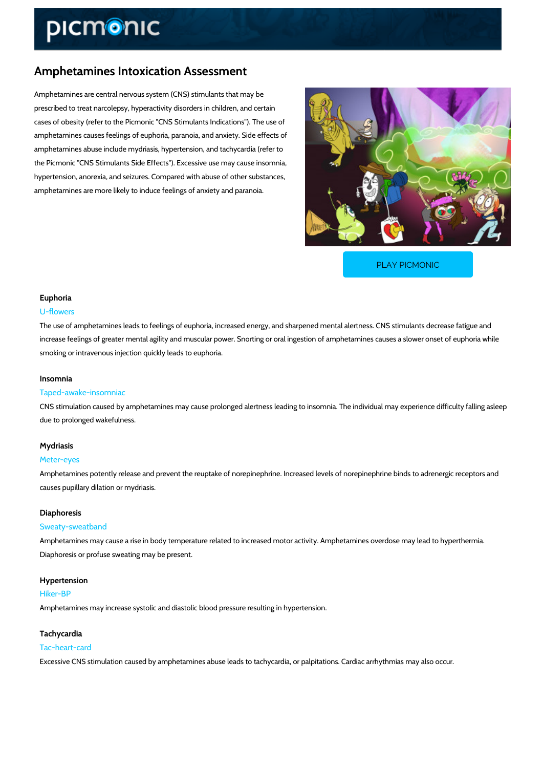# Amphetamines Intoxication Assessment

Amphetamines are central nervous system (CNS) stimulants that may be prescribed to treat narcolepsy, hyperactivity disorders in children, and certain cases of obesity (refer to the Picmonic "CNS Stimulants Indications"). The use of amphetamines causes feelings of euphoria, paranoia, and anxiety. Side effects of amphetamines abuse include mydriasis, hypertension, and tachycardia (refer to the Picmonic "CNS Stimulants Side Effects"). Excessive use may cause insomnia, hypertension, anorexia, and seizures. Compared with abuse of other substances, amphetamines are more likely to induce feelings of anxiety and paranoia.

[PLAY PICMONIC](https://www.picmonic.com/learn/amphetamines-intoxication-nbsp-assessment_2281?utm_source=downloadable_content&utm_medium=distributedcontent&utm_campaign=pathways_pdf&utm_content=Amphetamines Intoxication Assessment&utm_ad_group=leads&utm_market=all)

## Euphoria

#### U-flowers

The use of amphetamines leads to feelings of euphoria, increased energy, and sharpened men increase feelings of greater mental agility and muscular power. Snorting or oral ingestion of a smoking or intravenous injection quickly leads to euphoria.

#### Insomnia

## Taped-awake-insomniac

CNS stimulation caused by amphetamines may cause prolonged alertness leading to insomnia. due to prolonged wakefulness.

### Mydriasis

#### Meter-eyes

Amphetamines potently release and prevent the reuptake of norepinephrine. Increased levels causes pupillary dilation or mydriasis.

#### Diaphoresis

#### Sweaty-sweatband

Amphetamines may cause a rise in body temperature related to increased motor activity. Amph Diaphoresis or profuse sweating may be present.

#### Hypertension

## Hiker-BP

Amphetamines may increase systolic and diastolic blood pressure resulting in hypertension.

## Tachycardia Tac-heart-card

Excessive CNS stimulation caused by amphetamines abuse leads to tachycardia, or palpitatior